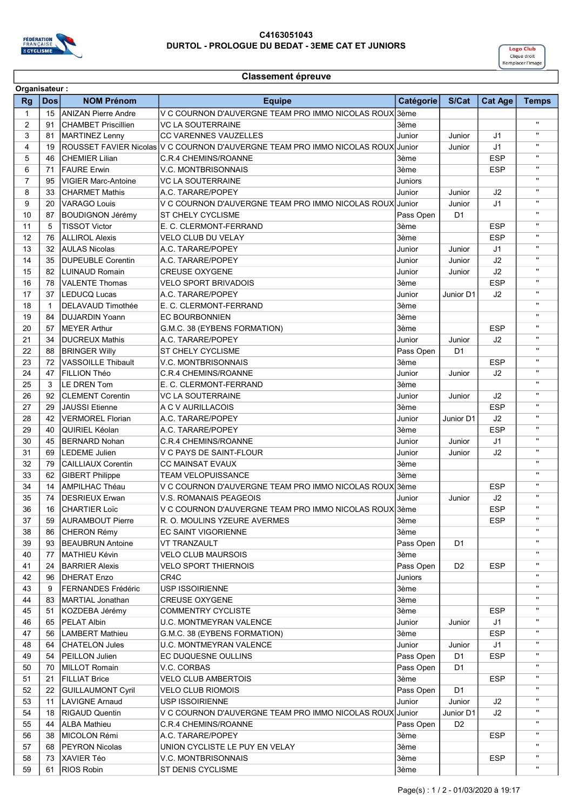

## C4163051043 DURTOL - PROLOGUE DU BEDAT - 3EME CAT ET JUNIORS



## Classement épreuve

| Organisateur:  |              |                            |                                                                                 |           |                |                |                |
|----------------|--------------|----------------------------|---------------------------------------------------------------------------------|-----------|----------------|----------------|----------------|
| <b>Rg</b>      | <b>Dos</b>   | <b>NOM Prénom</b>          | <b>Equipe</b>                                                                   | Catégorie | S/Cat          | <b>Cat Age</b> | <b>Temps</b>   |
| $\mathbf{1}$   | 15           | ANIZAN Pierre Andre        | V C COURNON D'AUVERGNE TEAM PRO IMMO NICOLAS ROUX                               | 3ème      |                |                |                |
| $\overline{2}$ | 91           | CHAMBET Priscillien        | <b>VC LA SOUTERRAINE</b>                                                        | 3ème      |                |                | $\mathbf{u}$   |
| 3              | 81           | MARTINEZ Lenny             | <b>CC VARENNES VAUZELLES</b>                                                    | Junior    | Junior         | J <sub>1</sub> | $\mathbf{u}$   |
| 4              | 19           |                            | ROUSSET FAVIER Nicolas V C COURNON D'AUVERGNE TEAM PRO IMMO NICOLAS ROUX Junior |           | Junior         | J <sub>1</sub> | $\mathbf{u}$   |
| 5              | 46           | <b>CHEMIER Lilian</b>      | C.R.4 CHEMINS/ROANNE                                                            | 3ème      |                | <b>ESP</b>     | $\mathbf{u}$   |
| 6              | 71           | <b>FAURE Erwin</b>         | <b>V.C. MONTBRISONNAIS</b>                                                      | 3ème      |                | <b>ESP</b>     | $\mathbf{H}$   |
| $\overline{7}$ | 95           | <b>VIGIER Marc-Antoine</b> | <b>VC LA SOUTERRAINE</b>                                                        | Juniors   |                |                | $\mathbf{u}$   |
| 8              | 33           | <b>CHARMET Mathis</b>      | A.C. TARARE/POPEY                                                               | Junior    | Junior         | J2             |                |
| 9              | 20           | <b>VARAGO Louis</b>        | V C COURNON D'AUVERGNE TEAM PRO IMMO NICOLAS ROUX Junior                        |           | Junior         | J <sub>1</sub> | $\mathbf{u}$   |
| 10             | 87           | BOUDIGNON Jérémy           | <b>ST CHELY CYCLISME</b>                                                        | Pass Open | D <sub>1</sub> |                | $\mathbf{u}$   |
| 11             | 5            | <b>TISSOT Victor</b>       | E. C. CLERMONT-FERRAND                                                          | 3ème      |                | <b>ESP</b>     | $\mathbf{u}$   |
| 12             | 76           | <b>ALLIROL Alexis</b>      | VELO CLUB DU VELAY                                                              | 3ème      |                | <b>ESP</b>     | $\mathbf{u}$   |
| 13             | 32           | <b>AULAS Nicolas</b>       | A.C. TARARE/POPEY                                                               | Junior    | Junior         | J1             | $\mathbf{u}$   |
| 14             | 35           | <b>DUPEUBLE Corentin</b>   | A.C. TARARE/POPEY                                                               | Junior    | Junior         | J2             |                |
| 15             | 82           | <b>LUINAUD Romain</b>      | <b>CREUSE OXYGENE</b>                                                           | Junior    | Junior         | J2             | $\mathbf{u}$   |
| 16             | 78           | <b>VALENTE Thomas</b>      | <b>VELO SPORT BRIVADOIS</b>                                                     | 3ème      |                | <b>ESP</b>     | $\mathbf{u}$   |
| 17             | 37           | LEDUCQ Lucas               | A.C. TARARE/POPEY                                                               | Junior    | Junior D1      | J2             | $\mathbf{H}$   |
| 18             | $\mathbf{1}$ | <b>DELAVAUD Timothée</b>   | E. C. CLERMONT-FERRAND                                                          | 3ème      |                |                | $\mathbf{u}$   |
| 19             | 84           | DUJARDIN Yoann             | <b>EC BOURBONNIEN</b>                                                           | 3ème      |                |                | $\mathbf{u}$   |
| 20             | 57           | <b>MEYER Arthur</b>        | G.M.C. 38 (EYBENS FORMATION)                                                    | 3ème      |                | <b>ESP</b>     |                |
| 21             | 34           | <b>DUCREUX Mathis</b>      | A.C. TARARE/POPEY                                                               | Junior    | Junior         | J2             | $\mathbf{u}$   |
| 22             | 88           | <b>BRINGER Willy</b>       | <b>ST CHELY CYCLISME</b>                                                        | Pass Open | D <sub>1</sub> |                | $\mathbf{u}$   |
| 23             | 72           | <b>VASSOILLE Thibault</b>  | <b>V.C. MONTBRISONNAIS</b>                                                      | 3ème      |                | <b>ESP</b>     | $\mathbf{u}$   |
|                |              |                            |                                                                                 |           |                |                | $\mathbf{u}$   |
| 24             | 47           | FILLION Théo               | C.R.4 CHEMINS/ROANNE                                                            | Junior    | Junior         | J2             | $\mathbf{H}$   |
| 25             | 3            | LE DREN Tom                | E. C. CLERMONT-FERRAND                                                          | 3ème      |                |                |                |
| 26             | 92           | <b>CLEMENT Corentin</b>    | <b>VC LA SOUTERRAINE</b>                                                        | Junior    | Junior         | J2             |                |
| 27             | 29           | <b>JAUSSI</b> Etienne      | A C V AURILLACOIS                                                               | 3ème      |                | <b>ESP</b>     | $\mathbf{u}$   |
| 28             | 42           | <b>VERMOREL Florian</b>    | A.C. TARARE/POPEY                                                               | Junior    | Junior D1      | J2             | $\mathbf{u}$   |
| 29             | 40           | QUIRIEL Kéolan             | A.C. TARARE/POPEY                                                               | 3ème      |                | <b>ESP</b>     | $\mathbf{u}$   |
| 30             | 45           | <b>BERNARD Nohan</b>       | C.R.4 CHEMINS/ROANNE                                                            | Junior    | Junior         | J1             | $\mathbf{H}$   |
| 31             | 69           | <b>LEDEME</b> Julien       | V C PAYS DE SAINT-FLOUR                                                         | Junior    | Junior         | J2             |                |
| 32             | 79           | <b>CAILLIAUX Corentin</b>  | CC MAINSAT EVAUX                                                                | 3ème      |                |                | $\mathbf{u}$   |
| 33             | 62           | <b>GIBERT Philippe</b>     | <b>TEAM VELOPUISSANCE</b>                                                       | 3ème      |                |                | $\mathbf{u}$   |
| 34             | 14           | <b>AMPILHAC Théau</b>      | V C COURNON D'AUVERGNE TEAM PRO IMMO NICOLAS ROUX 3ème                          |           |                | <b>ESP</b>     | $\mathbf{u}$   |
| 35             | 74           | <b>DESRIEUX Erwan</b>      | <b>V.S. ROMANAIS PEAGEOIS</b>                                                   | Junior    | Junior         | J2             | $\mathbf{u}$   |
| 36             | 16           | <b>CHARTIER Loïc</b>       | V C COURNON D'AUVERGNE TEAM PRO IMMO NICOLAS ROUX 3ème                          |           |                | <b>ESP</b>     | $\mathbf{u}$   |
| 37             | 59           | AURAMBOUT Pierre           | R. O. MOULINS YZEURE AVERMES                                                    | 3ème      |                | ESP            |                |
| 38             | 86           | CHERON Rémy                | <b>EC SAINT VIGORIENNE</b>                                                      | 3ème      |                |                | $\mathbf{u}$   |
| 39             | 93           | <b>BEAUBRUN Antoine</b>    | <b>VT TRANZAULT</b>                                                             | Pass Open | D1             |                |                |
| 40             | 77           | MATHIEU Kévin              | <b>VELO CLUB MAURSOIS</b>                                                       | 3ème      |                |                |                |
| 41             | 24           | <b>BARRIER Alexis</b>      | <b>VELO SPORT THIERNOIS</b>                                                     | Pass Open | D <sub>2</sub> | <b>ESP</b>     |                |
| 42             | 96           | DHERAT Enzo                | CR4C                                                                            | Juniors   |                |                |                |
| 43             | 9            | FERNANDES Frédéric         | <b>USP ISSOIRIENNE</b>                                                          | 3ème      |                |                |                |
| 44             | 83           | MARTIAL Jonathan           | <b>CREUSE OXYGENE</b>                                                           | 3ème      |                |                |                |
| 45             | 51           | KOZDEBA Jérémy             | <b>COMMENTRY CYCLISTE</b>                                                       | 3ème      |                | <b>ESP</b>     | п.             |
| 46             | 65           | PELAT Albin                | <b>U.C. MONTMEYRAN VALENCE</b>                                                  | Junior    | Junior         | J1             |                |
| 47             | 56           | LAMBERT Mathieu            | G.M.C. 38 (EYBENS FORMATION)                                                    | 3ème      |                | <b>ESP</b>     |                |
| 48             | 64           | <b>CHATELON Jules</b>      | <b>U.C. MONTMEYRAN VALENCE</b>                                                  | Junior    | Junior         | J1             |                |
| 49             | 54           | PEILLON Julien             | EC DUQUESNE OULLINS                                                             | Pass Open | D <sub>1</sub> | <b>ESP</b>     | п.             |
| 50             | 70           | MILLOT Romain              | V.C. CORBAS                                                                     | Pass Open | D1             |                | п.             |
| 51             | 21           | FILLIAT Brice              | <b>VELO CLUB AMBERTOIS</b>                                                      | 3ème      |                | <b>ESP</b>     | $\mathbf{H}$   |
| 52             | 22           | GUILLAUMONT Cyril          | <b>VELO CLUB RIOMOIS</b>                                                        | Pass Open | D <sub>1</sub> |                |                |
| 53             | 11           | LAVIGNE Arnaud             | USP ISSOIRIENNE                                                                 | Junior    | Junior         | J2             |                |
| 54             | 18           | RIGAUD Quentin             | V C COURNON D'AUVERGNE TEAM PRO IMMO NICOLAS ROUX Junior                        |           | Junior D1      | J2             |                |
| 55             | 44           | <b>ALBA Mathieu</b>        | C.R.4 CHEMINS/ROANNE                                                            | Pass Open | D <sub>2</sub> |                | $\mathbf{H}$   |
| 56             | 38           | MICOLON Rémi               | A.C. TARARE/POPEY                                                               | 3ème      |                | <b>ESP</b>     | $\mathbf{H}$   |
| 57             | 68           | PEYRON Nicolas             | UNION CYCLISTE LE PUY EN VELAY                                                  | 3ème      |                |                | $\mathbf{H}$   |
| 58             | 73           | XAVIER Téo                 | V.C. MONTBRISONNAIS                                                             | 3ème      |                | <b>ESP</b>     | $\mathbf{H}$ . |
| 59             | 61           | RIOS Robin                 | <b>ST DENIS CYCLISME</b>                                                        | 3ème      |                |                | $\mathbf{u}$   |